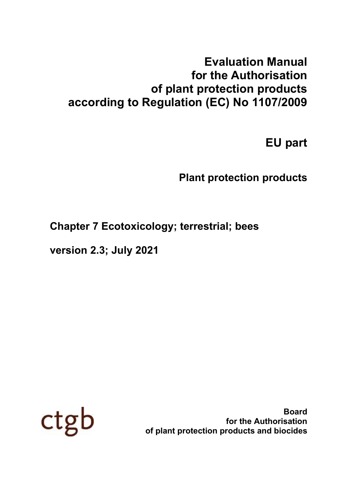# **Evaluation Manual for the Authorisation of plant protection products according to Regulation (EC) No 1107/2009**

# **EU part**

# **Plant protection products**

# **Chapter 7 Ecotoxicology; terrestrial; bees**

**version 2.3; July 2021**



**Board for the Authorisation of plant protection products and biocides**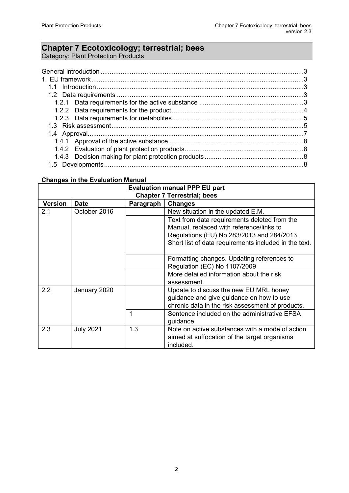# **Chapter 7 Ecotoxicology; terrestrial; bees**

Category: Plant Protection Products

#### **Changes in the Evaluation Manual**

| <b>Evaluation manual PPP EU part</b> |                  |           |                                                       |  |
|--------------------------------------|------------------|-----------|-------------------------------------------------------|--|
| <b>Chapter 7 Terrestrial; bees</b>   |                  |           |                                                       |  |
| <b>Version</b>                       | <b>Date</b>      | Paragraph | <b>Changes</b>                                        |  |
| 2.1                                  | October 2016     |           | New situation in the updated E.M.                     |  |
|                                      |                  |           | Text from data requirements deleted from the          |  |
|                                      |                  |           | Manual, replaced with reference/links to              |  |
|                                      |                  |           | Regulations (EU) No 283/2013 and 284/2013.            |  |
|                                      |                  |           | Short list of data requirements included in the text. |  |
|                                      |                  |           |                                                       |  |
|                                      |                  |           | Formatting changes. Updating references to            |  |
|                                      |                  |           | Regulation (EC) No 1107/2009                          |  |
|                                      |                  |           | More detailed information about the risk              |  |
|                                      |                  |           | assessment.                                           |  |
| 2.2                                  | January 2020     |           | Update to discuss the new EU MRL honey                |  |
|                                      |                  |           | guidance and give guidance on how to use              |  |
|                                      |                  |           | chronic data in the risk assessment of products.      |  |
|                                      |                  |           | Sentence included on the administrative EFSA          |  |
|                                      |                  |           | guidance                                              |  |
| 2.3                                  | <b>July 2021</b> | 1.3       | Note on active substances with a mode of action       |  |
|                                      |                  |           | aimed at suffocation of the target organisms          |  |
|                                      |                  |           | included.                                             |  |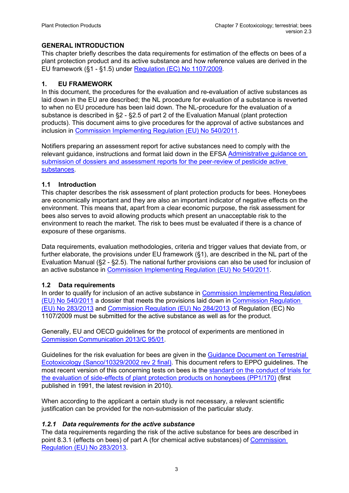#### <span id="page-2-0"></span>**GENERAL INTRODUCTION**

This chapter briefly describes the data requirements for estimation of the effects on bees of a plant protection product and its active substance and how reference values are derived in the EU framework (§1 - §1.5) under [Regulation \(EC\) No 1107/2009.](http://eur-lex.europa.eu/legal-content/EN/TXT/PDF/?uri=CELEX:32009R1107&from=EN)

#### <span id="page-2-1"></span>**1. EU FRAMEWORK**

In this document, the procedures for the evaluation and re-evaluation of active substances as laid down in the EU are described; the NL procedure for evaluation of a substance is reverted to when no EU procedure has been laid down. The NL-procedure for the evaluation of a substance is described in §2 - §2.5 of part 2 of the Evaluation Manual (plant protection products). This document aims to give procedures for the approval of active substances and inclusion in [Commission Implementing Regulation \(EU\) No 540/2011.](http://eur-lex.europa.eu/LexUriServ/LexUriServ.do?uri=OJ:L:2011:153:0001:0186:EN:PDF)

Notifiers preparing an assessment report for active substances need to comply with the relevant guidance, instructions and format laid down in the EFSA [Administrative guidance](https://www.efsa.europa.eu/en/supporting/pub/en-1612) on [submission of dossiers and assessment reports for the peer-review of pesticide active](https://www.efsa.europa.eu/en/supporting/pub/en-1612)  [substances.](https://www.efsa.europa.eu/en/supporting/pub/en-1612)

#### <span id="page-2-2"></span>**1.1 Introduction**

This chapter describes the risk assessment of plant protection products for bees. Honeybees are economically important and they are also an important indicator of negative effects on the environment. This means that, apart from a clear economic purpose, the risk assessment for bees also serves to avoid allowing products which present an unacceptable risk to the environment to reach the market. The risk to bees must be evaluated if there is a chance of exposure of these organisms.

Data requirements, evaluation methodologies, criteria and trigger values that deviate from, or further elaborate, the provisions under EU framework (§1), are described in the NL part of the Evaluation Manual (§2 - §2.5). The national further provisions can also be used for inclusion of an active substance in [Commission Implementing Regulation \(EU\) No 540/2011.](http://eur-lex.europa.eu/LexUriServ/LexUriServ.do?uri=OJ:L:2011:153:0001:0186:EN:PDF)

#### <span id="page-2-3"></span>**1.2 Data requirements**

In order to qualify for inclusion of an active substance in [Commission Implementing Regulation](http://eur-lex.europa.eu/LexUriServ/LexUriServ.do?uri=OJ:L:2011:153:0001:0186:EN:PDF)  [\(EU\) No 540/2011](http://eur-lex.europa.eu/LexUriServ/LexUriServ.do?uri=OJ:L:2011:153:0001:0186:EN:PDF) a dossier that meets the provisions laid down in [Commission Regulation](http://eur-lex.europa.eu/legal-content/EN/TXT/PDF/?uri=CELEX:32013R0283&from=EN)  [\(EU\) No 283/2013](http://eur-lex.europa.eu/legal-content/EN/TXT/PDF/?uri=CELEX:32013R0283&from=EN) and [Commission Regulation \(EU\) No 284/2013](http://eur-lex.europa.eu/LexUriServ/LexUriServ.do?uri=OJ:L:2013:093:0085:0152:EN:PDF) of Regulation (EC) No 1107/2009 must be submitted for the active substance as well as for the product.

Generally, EU and OECD guidelines for the protocol of experiments are mentioned in [Commission Communication](http://eur-lex.europa.eu/LexUriServ/LexUriServ.do?uri=OJ:C:2013:095:0001:0020:EN:PDF) 2013/C 95/01.

Guidelines for the risk evaluation for bees are given in the [Guidance Document on](http://ec.europa.eu/food/plant/docs/pesticides_ppp_app-proc_guide_ecotox_terrestrial.pdf) Terrestrial [Ecotoxicology \(Sanco/10329/2002 rev 2 final\).](http://ec.europa.eu/food/plant/docs/pesticides_ppp_app-proc_guide_ecotox_terrestrial.pdf) This document refers to EPPO guidelines. The most recent version of this concerning tests on bees is the [standard on the conduct](http://onlinelibrary.wiley.com/doi/10.1111/j.1365-2338.2010.02418.x/epdf) of trials for the evaluation of [side-effects of plant protection products on honeybees \(PP1/170\)](http://onlinelibrary.wiley.com/doi/10.1111/j.1365-2338.2010.02418.x/epdf) (first published in 1991, the latest revision in 2010).

When according to the applicant a certain study is not necessary, a relevant scientific justification can be provided for the non-submission of the particular study.

#### <span id="page-2-4"></span>*1.2.1 Data requirements for the active substance*

The data requirements regarding the risk of the active substance for bees are described in point 8.3.1 (effects on bees) of part A (for chemical active substances) of [Commission](http://eur-lex.europa.eu/legal-content/EN/TXT/PDF/?uri=CELEX:32013R0283&from=EN#page=60)  [Regulation \(EU\) No 283/2013.](http://eur-lex.europa.eu/legal-content/EN/TXT/PDF/?uri=CELEX:32013R0283&from=EN#page=60)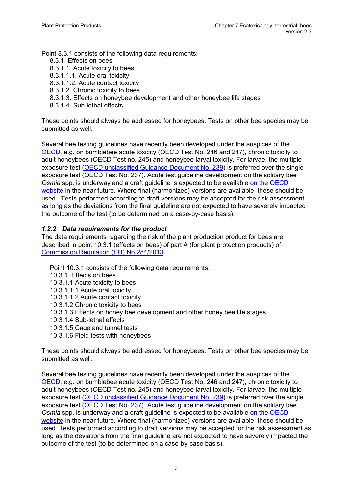Point 8.3.1 consists of the following data requirements:

- 8.3.1. Effects on bees
- 8.3.1.1. Acute toxicity to bees
- 8.3.1.1.1. Acute oral toxicity
- 8.3.1.1.2. Acute contact toxicity
- 8.3.1.2. Chronic toxicity to bees
- 8.3.1.3. Effects on honeybee development and other honeybee life stages
- 8.3.1.4. Sub-lethal effects

These points should always be addressed for honeybees. Tests on other bee species may be submitted as well.

Several bee testing guidelines have recently been developed under the auspices of the [OECD,](http://www.oecd.org/chemicalsafety/testing/oecdguidelinesforthetestingofchemicals.htm) e.g. on bumblebee acute toxicity (OECD Test No. 246 and 247), chronic toxicity to adult honeybees (OECD Test no. 245) and honeybee larval toxicity. For larvae, the multiple exposure test [\(OECD unclassified Guidance Document No. 239\)](https://one.oecd.org/document/ENV/JM/MONO(2016)34/en/pdf) is preferred over the single exposure test (OECD Test No. 237). Acute test guideline development on the solitary bee *Osmia* spp. is underway and a draft guideline is expected to be available on the [OECD](http://www.oecd.org/env/ehs/testing/section-2-effects-biotic-systems.htm)  [website](http://www.oecd.org/env/ehs/testing/section-2-effects-biotic-systems.htm) in the near future. Where final (harmonized) versions are available, these should be used. Tests performed according to draft versions may be accepted for the risk assessment as long as the deviations from the final guideline are not expected to have severely impacted the outcome of the test (to be determined on a case-by-case basis).

### <span id="page-3-0"></span>*1.2.2 Data requirements for the product*

The data requirements regarding the risk of the plant production product for bees are described in point 10.3.1 (effects on bees) of part A (for plant protection products) of [Commission Regulation \(EU\) No](http://eur-lex.europa.eu/LexUriServ/LexUriServ.do?uri=OJ:L:2013:093:0085:0152:EN:PDF) 284/2013.

Point 10.3.1 consists of the following data requirements: 10.3.1. Effects on bees 10.3.1.1 Acute toxicity to bees 10.3.1.1.1 Acute oral toxicity 10.3.1.1.2 Acute contact toxicity 10.3.1.2 Chronic toxicity to bees 10.3.1.3 Effects on honey bee development and other honey bee life stages 10.3.1.4 Sub-lethal effects 10.3.1.5 Cage and tunnel tests 10.3.1.6 Field tests with honeybees

These points should always be addressed for honeybees. Tests on other bee species may be submitted as well.

Several bee testing guidelines have recently been developed under the auspices of the [OECD,](http://www.oecd.org/chemicalsafety/testing/oecdguidelinesforthetestingofchemicals.htm) e.g. on bumblebee acute toxicity (OECD Test No. 246 and 247), chronic toxicity to adult honeybees (OECD Test no. 245) and honeybee larval toxicity. For larvae, the multiple exposure test [\(OECD unclassified Guidance Document No. 239\)](https://one.oecd.org/document/ENV/JM/MONO(2016)34/en/pdf) is preferred over the single exposure test (OECD Test No. 237). Acute test guideline development on the solitary bee *Osmia* spp. is underway and a draft guideline is expected to be available on the [OECD](http://www.oecd.org/env/ehs/testing/section-2-effects-biotic-systems.htm)  [website](http://www.oecd.org/env/ehs/testing/section-2-effects-biotic-systems.htm) in the near future. Where final (harmonized) versions are available, these should be used. Tests performed according to draft versions may be accepted for the risk assessment as long as the deviations from the final guideline are not expected to have severely impacted the outcome of the test (to be determined on a case-by-case basis).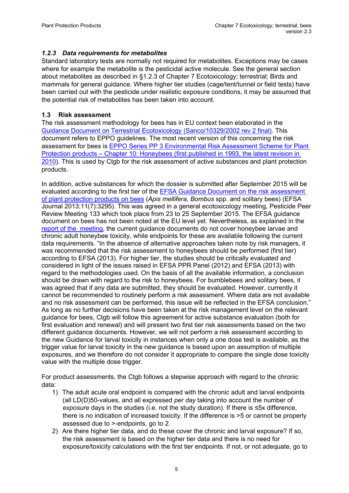#### <span id="page-4-0"></span>*1.2.3 Data requirements for metabolites*

Standard laboratory tests are normally not required for metabolites. Exceptions may be cases where for example the metabolite is the pesticidal active molecule. See the general section about metabolites as described in §1.2.3 of Chapter 7 Ecotoxicology; terrestrial; Birds and mammals for general guidance. Where higher tier studies (cage/tent/tunnel or field tests) have been carried out with the pesticide under realistic exposure conditions, it may be assumed that the potential risk of metabolites has been taken into account.

#### <span id="page-4-1"></span>**1.3 Risk assessment**

The risk assessment methodology for bees has in EU context been elaborated in the [Guidance Document on Terrestrial Ecotoxicology \(Sanco/10329/2002 rev 2 final\).](http://ec.europa.eu/food/plant/docs/pesticides_ppp_app-proc_guide_ecotox_terrestrial.pdf) This document refers to EPPO guidelines. The most recent version of this concerning the risk assessment for bees is [EPPO Series PP 3 Environmental Risk Assessment Scheme](http://onlinelibrary.wiley.com/doi/10.1111/j.1365-2338.2010.02419.x/epdf) for Plant Protection products – [Chapter 10: Honeybees \(first published in 1993, the latest revision in](http://onlinelibrary.wiley.com/doi/10.1111/j.1365-2338.2010.02419.x/epdf)  [2010\)](http://onlinelibrary.wiley.com/doi/10.1111/j.1365-2338.2010.02419.x/epdf). This is used by Ctgb for the risk assessment of active substances and plant protection products.

In addition, active substances for which the dossier is submitted after September 2015 will be evaluated according to the first tier of the [EFSA Guidance Document on the risk assessment](http://onlinelibrary.wiley.com/doi/10.2903/j.efsa.2013.3295/epdf)  of plant [protection products on](http://onlinelibrary.wiley.com/doi/10.2903/j.efsa.2013.3295/epdf) bees (*Apis mellifera, Bombus* spp. and solitary bees) (EFSA Journal 2013;11(7):3295). This was agreed in a general ecotoxicology meeting, Pesticide Peer Review Meeting 133 which took place from 23 to 25 September 2015. The EFSA guidance document on bees has not been noted at the EU level yet. Nevertheless, as explained in the [report of the meeting,](http://onlinelibrary.wiley.com/doi/10.2903/sp.efsa.2015.EN-924/pdf) the current guidance documents do not cover honeybee larvae and chronic adult honeybee toxicity, while endpoints for these are available following the current data requirements. "In the absence of alternative approaches taken note by risk managers, it was recommended that the risk assessment to honeybees should be performed (first tier) according to EFSA (2013). For higher tier, the studies should be critically evaluated and considered in light of the issues raised in EFSA PPR Panel (2012) and EFSA (2013) with regard to the methodologies used. On the basis of all the available information, a conclusion should be drawn with regard to the risk to honeybees. For bumblebees and solitary bees, it was agreed that if any data are submitted, they should be evaluated. However, currently it cannot be recommended to routinely perform a risk assessment. Where data are not available and no risk assessment can be performed, this issue will be reflected in the EFSA conclusion." As long as no further decisions have been taken at the risk management level on the relevant guidance for bees, Ctgb will follow this agreement for active substance evaluation (both for first evaluation and renewal) and will present two first tier risk assessments based on the two different guidance documents. However, we will not perform a risk assessment according to the new Guidance for larval toxicity in instances when only a one dose test is available, as the trigger value for larval toxicity in the new guidance is based upon an assumption of multiple exposures, and we therefore do not consider it appropriate to compare the single dose toxicity value with the multiple dose trigger.

For product assessments, the Ctgb follows a stepwise approach with regard to the chronic data:

- 1) The adult acute oral endpoint is compared with the chronic adult and larval endpoints (all LD(D)50-values, and all expressed *per day* taking into account the number of *exposure* days in the studies (i.e. not the study duration). If there is ≤5x difference, there is no indication of increased toxicity. If the difference is >5 or cannot be properly assessed due to >-endpoints, go to 2.
- 2) Are there higher tier data, and do these cover the chronic and larval exposure? If so, the risk assessment is based on the higher tier data and there is no need for exposure/toxicity calculations with the first tier endpoints. If not, or not adequate, go to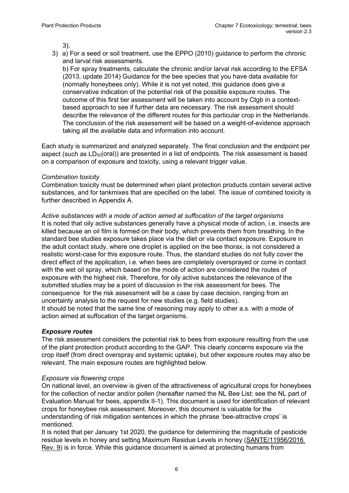3).

3) a) For a seed or soil treatment, use the EPPO (2010) guidance to perform the chronic and larval risk assessments.

b) For spray treatments, calculate the chronic and/or larval risk according to the EFSA (2013, update 2014) Guidance for the bee species that you have data available for (normally honeybees only). While it is not yet noted, this guidance does give a conservative indication of the potential risk of the possible exposure routes. The outcome of this first tier assessment will be taken into account by Ctgb in a contextbased approach to see if further data are necessary. The risk assessment should describe the relevance of the different routes for this particular crop in the Netherlands. The conclusion of the risk assessment will be based on a weight-of-evidence approach taking all the available data and information into account.

Each study is summarized and analyzed separately. The final conclusion and the endpoint per aspect (such as  $LD_{50}(oral)$ ) are presented in a list of endpoints. The risk assessment is based on a comparison of exposure and toxicity, using a relevant trigger value.

#### *Combination toxicity*

Combination toxicity must be determined when plant protection products contain several active substances, and for tankmixes that are specified on the label. The issue of combined toxicity is further described in Appendix A.

*Active substances with a mode of action aimed at suffocation of the target organisms* It is noted that oily active substances generally have a physical mode of action, i.e. insects are killed because an oil film is formed on their body, which prevents them from breathing. In the standard bee studies exposure takes place via the diet or via contact exposure. Exposure in the adult contact study, where one droplet is applied on the bee thorax, is not considered a realistic worst-case for this exposure route. Thus, the standard studies do not fully cover the direct effect of the application, i.e. when bees are completely oversprayed or come in contact with the wet oil spray, which based on the mode of action are considered the routes of exposure with the highest risk. Therefore, for oily active substances the relevance of the submitted studies may be a point of discussion in the risk assessment for bees. The consequence for the risk assessment will be a case by case decision, ranging from an uncertainty analysis to the request for new studies (e.g. field studies). It should be noted that the same line of reasoning may apply to other a.s. with a mode of action aimed at suffocation of the target organisms.

*Exposure routes*

The risk assessment considers the potential risk to bees from exposure resulting from the use of the plant protection product according to the GAP. This clearly concerns exposure via the crop itself (from direct overspray and systemic uptake), but other exposure routes may also be relevant. The main exposure routes are highlighted below.

#### *Exposure via flowering crops*

On national level, an overview is given of the attractiveness of agricultural crops for honeybees for the collection of nectar and/or pollen (hereafter named the NL Bee List; see the NL part of Evaluation Manual for bees, appendix II-1). This document is used for identification of relevant crops for honeybee risk assessment. Moreover, this document is valuable for the understanding of risk mitigation sentences in which the phrase 'bee-attractive crops' is mentioned.

It is noted that per January 1st 2020, the guidance for determining the magnitude of pesticide residue levels in honey and setting Maximum Residue Levels in honey [\(SANTE/11956/2016](https://ec.europa.eu/food/sites/food/files/plant/docs/pesticides_mrl_guidelines_honey.pdf)  [Rev. 9\)](https://ec.europa.eu/food/sites/food/files/plant/docs/pesticides_mrl_guidelines_honey.pdf) is in force. While this guidance document is aimed at protecting humans from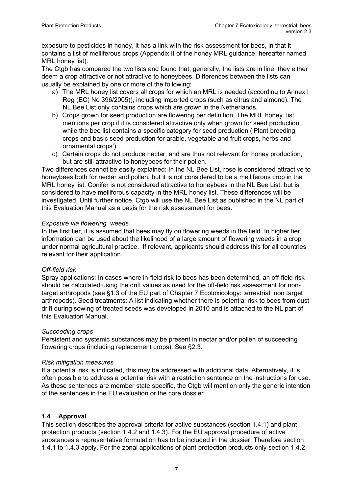exposure to pesticides in honey, it has a link with the risk assessment for bees, in that it contains a list of melliferous crops (Appendix II of the honey MRL guidance, hereafter named MRL honey list).

The Ctgb has compared the two lists and found that, generally, the lists are in line: they either deem a crop attractive or not attractive to honeybees. Differences between the lists can usually be explained by one or more of the following:

- a) The MRL honey list covers all crops for which an MRL is needed (according to Annex I Reg (EC) No 396/2005)), including imported crops (such as citrus and almond). The NL Bee List only contains crops which are grown in the Netherlands.
- b) Crops grown for seed production are flowering per definition. The MRL honey list mentions per crop if it is considered attractive only when grown for seed production, while the bee list contains a specific category for seed production ('Plant breeding crops and basic seed production for arable, vegetable and fruit crops, herbs and ornamental crops').
- c) Certain crops do not produce nectar, and are thus not relevant for honey production, but are still attractive to honeybees for their pollen.

Two differences cannot be easily explained: In the NL Bee List, rose is considered attractive to honeybees both for nectar and pollen, but it is not considered to be a melliferous crop in the MRL honey list. Conifer is not considered attractive to honeybees in the NL Bee List, but is considered to have melliforous capacity in the MRL honey list. These differences will be investigated. Until further notice, Ctgb will use the NL Bee List as published in the NL part of this Evaluation Manual as a basis for the risk assessment for bees.

### *Exposure via flowering weeds*

In the first tier, it is assumed that bees may fly on flowering weeds in the field. In higher tier, information can be used about the likelihood of a large amount of flowering weeds in a crop under normal agricultural practice. If relevant, applicants should address this for all countries relevant for their application.

#### *Off-field risk*

Spray applications: In cases where in-field risk to bees has been determined, an off-field risk should be calculated using the drift values as used for the off-field risk assessment for nontarget arthropods (see §1.3 of the EU part of Chapter 7 Ecotoxicology: terrestrial; non target arthropods). Seed treatments: A list indicating whether there is potential risk to bees from dust drift during sowing of treated seeds was developed in 2010 and is attached to the NL part of this Evaluation Manual.

#### *Succeeding crops*

Persistent and systemic substances may be present in nectar and/or pollen of succeeding flowering crops (including replacement crops). See §2.3.

#### *Risk mitigation measures*

If a potential risk is indicated, this may be addressed with additional data. Alternatively, it is often possible to address a potential risk with a restriction sentence on the instructions for use. As these sentences are member state specific, the Ctgb will mention only the generic intention of the sentences in the EU evaluation or the core dossier.

### <span id="page-6-0"></span>**1.4 Approval**

This section describes the approval criteria for active substances (section 1.4.1) and plant protection products (section 1.4.2 and 1.4.3). For the EU approval procedure of active substances a representative formulation has to be included in the dossier. Therefore section 1.4.1 to 1.4.3 apply. For the zonal applications of plant protection products only section 1.4.2